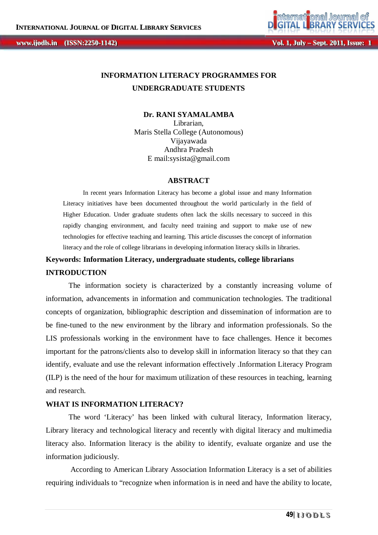**Vol. 1, Jul** *ly* **– Sept. 2011, Issue: 1** 

# **INFORMATION LITERACY PROGRAMMES FOR UNDERGRADUATE STUDENTS**

**Dr. RANI SYAMALAMBA** Librarian, Maris Stella College (Autonomous) Vijayawada Andhra Pradesh E mail:sysista@gmail.com

#### **ABSTRACT**

In recent years Information Literacy has become a global issue and many Information Literacy initiatives have been documented throughout the world particularly in the field of Higher Education. Under graduate students often lack the skills necessary to succeed in this rapidly changing environment, and faculty need training and support to make use of new technologies for effective teaching and learning. This article discusses the concept of information literacy and the role of college librarians in developing information literacy skills in libraries.

# **Keywords: Information Literacy, undergraduate students, college librarians INTRODUCTION**

The information society is characterized by a constantly increasing volume of information, advancements in information and communication technologies. The traditional concepts of organization, bibliographic description and dissemination of information are to be fine-tuned to the new environment by the library and information professionals. So the LIS professionals working in the environment have to face challenges. Hence it becomes important for the patrons/clients also to develop skill in information literacy so that they can identify, evaluate and use the relevant information effectively .Information Literacy Program (ILP) is the need of the hour for maximum utilization of these resources in teaching, learning and research.

#### **WHAT IS INFORMATION LITERACY?**

The word 'Literacy' has been linked with cultural literacy, Information literacy, Library literacy and technological literacy and recently with digital literacy and multimedia literacy also. Information literacy is the ability to identify, evaluate organize and use the information judiciously.

According to American Library Association Information Literacy is a set of abilities requiring individuals to "recognize when information is in need and have the ability to locate,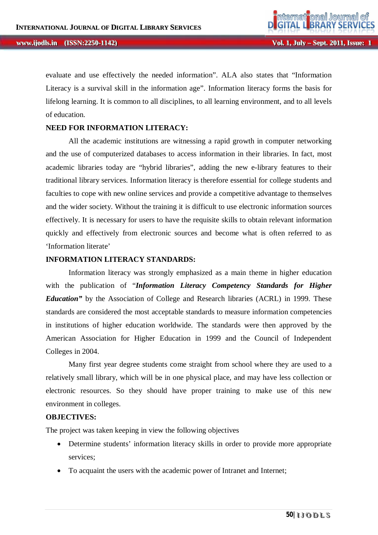evaluate and use effectively the needed information". ALA also states that "Information Literacy is a survival skill in the information age". Information literacy forms the basis for lifelong learning. It is common to all disciplines, to all learning environment, and to all levels of education.

#### **NEED FOR INFORMATION LITERACY:**

All the academic institutions are witnessing a rapid growth in computer networking and the use of computerized databases to access information in their libraries. In fact, most academic libraries today are "hybrid libraries", adding the new e-library features to their traditional library services. Information literacy is therefore essential for college students and faculties to cope with new online services and provide a competitive advantage to themselves and the wider society. Without the training it is difficult to use electronic information sources effectively. It is necessary for users to have the requisite skills to obtain relevant information quickly and effectively from electronic sources and become what is often referred to as 'Information literate'

#### **INFORMATION LITERACY STANDARDS:**

Information literacy was strongly emphasized as a main theme in higher education with the publication of "*Information Literacy Competency Standards for Higher Education*" by the Association of College and Research libraries (ACRL) in 1999. These standards are considered the most acceptable standards to measure information competencies in institutions of higher education worldwide. The standards were then approved by the American Association for Higher Education in 1999 and the Council of Independent Colleges in 2004.

Many first year degree students come straight from school where they are used to a relatively small library, which will be in one physical place, and may have less collection or electronic resources. So they should have proper training to make use of this new environment in colleges.

#### **OBJECTIVES:**

The project was taken keeping in view the following objectives

- Determine students' information literacy skills in order to provide more appropriate services;
- To acquaint the users with the academic power of Intranet and Internet: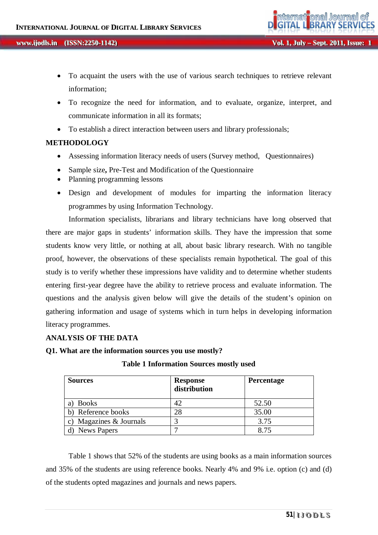- To acquaint the users with the use of various search techniques to retrieve relevant information;
- To recognize the need for information, and to evaluate, organize, interpret, and communicate information in all its formats;
- To establish a direct interaction between users and library professionals;

# **METHODOLOGY**

- Assessing information literacy needs of users (Survey method, Questionnaires)
- Sample size**,** Pre-Test and Modification of the Questionnaire
- Planning programming lessons
- Design and development of modules for imparting the information literacy programmes by using Information Technology.

Information specialists, librarians and library technicians have long observed that there are major gaps in students' information skills. They have the impression that some students know very little, or nothing at all, about basic library research. With no tangible proof, however, the observations of these specialists remain hypothetical. The goal of this study is to verify whether these impressions have validity and to determine whether students entering first-year degree have the ability to retrieve process and evaluate information. The questions and the analysis given below will give the details of the student's opinion on gathering information and usage of systems which in turn helps in developing information literacy programmes.

## **ANALYSIS OF THE DATA**

**Q1. What are the information sources you use mostly?**

| <b>Sources</b>          | <b>Response</b><br>distribution | <b>Percentage</b> |
|-------------------------|---------------------------------|-------------------|
| Books<br>a)             | 42                              | 52.50             |
| b) Reference books      | 28                              | 35.00             |
| c) Magazines & Journals |                                 | 3.75              |
| d) News Papers          |                                 | 8.75              |

**Table 1 Information Sources mostly used**

Table 1 shows that 52% of the students are using books as a main information sources and 35% of the students are using reference books. Nearly 4% and 9% i.e. option (c) and (d) of the students opted magazines and journals and news papers.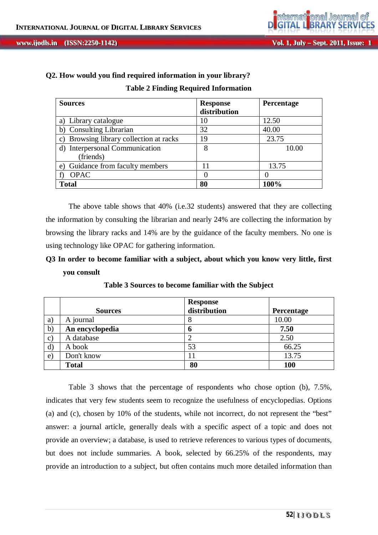| Q2. How would you find required information in your library? |  |
|--------------------------------------------------------------|--|
| <b>Table 2 Finding Required Information</b>                  |  |

| <b>Sources</b>                          | <b>Response</b><br>distribution | Percentage |
|-----------------------------------------|---------------------------------|------------|
| a) Library catalogue                    | 10                              | 12.50      |
| b) Consulting Librarian                 | 32                              | 40.00      |
| c) Browsing library collection at racks | 19                              | 23.75      |
| d) Interpersonal Communication          | 8                               | 10.00      |
| (friends)                               |                                 |            |
| Guidance from faculty members<br>e)     | 11                              | 13.75      |
| <b>OPAC</b>                             |                                 |            |
| <b>Total</b>                            | 80                              | 100%       |

The above table shows that 40% (i.e.32 students) answered that they are collecting the information by consulting the librarian and nearly 24% are collecting the information by browsing the library racks and 14% are by the guidance of the faculty members. No one is using technology like OPAC for gathering information.

# **Q3 In order to become familiar with a subject, about which you know very little, first you consult**

|              | <b>Sources</b>  | <b>Response</b><br>distribution | Percentage |
|--------------|-----------------|---------------------------------|------------|
| a)           | A journal       | 8                               | 10.00      |
| $\mathbf{b}$ | An encyclopedia | o                               | 7.50       |
| $\mathbf{C}$ | A database      |                                 | 2.50       |
| $\mathbf{d}$ | A book          | 53                              | 66.25      |
| $\mathbf{e}$ | Don't know      | 11                              | 13.75      |
|              | <b>Total</b>    | 80                              | 100        |

**Table 3 Sources to become familiar with the Subject**

Table 3 shows that the percentage of respondents who chose option (b), 7.5%, indicates that very few students seem to recognize the usefulness of encyclopedias. Options (a) and (c), chosen by 10% of the students, while not incorrect, do not represent the "best" answer: a journal article, generally deals with a specific aspect of a topic and does not provide an overview; a database, is used to retrieve references to various types of documents, but does not include summaries. A book, selected by 66.25% of the respondents, may provide an introduction to a subject, but often contains much more detailed information than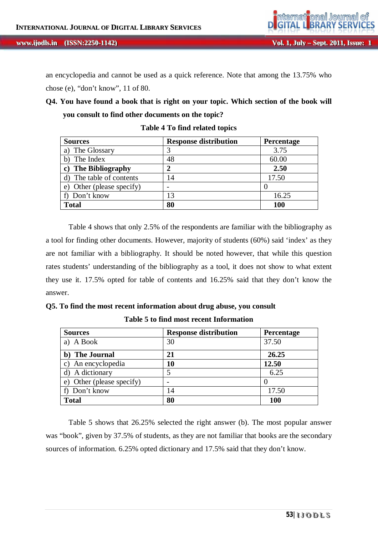

an encyclopedia and cannot be used as a quick reference. Note that among the 13.75% who chose (e), "don't know", 11 of 80.

# **Q4. You have found a book that is right on your topic. Which section of the book will you consult to find other documents on the topic?**

| <b>Sources</b>            | <b>Response distribution</b> | <b>Percentage</b> |
|---------------------------|------------------------------|-------------------|
| The Glossary              |                              | 3.75              |
| The Index                 | 48                           | 60.00             |
| <b>The Bibliography</b>   |                              | 2.50              |
| d) The table of contents  | 14                           | 17.50             |
| e) Other (please specify) |                              |                   |
| f) Don't know             | 13                           | 16.25             |
| <b>Total</b>              | 80                           | <b>100</b>        |

**Table 4 To find related topics**

Table 4 shows that only 2.5% of the respondents are familiar with the bibliography as a tool for finding other documents. However, majority of students (60%) said 'index' as they are not familiar with a bibliography. It should be noted however, that while this question rates students' understanding of the bibliography as a tool, it does not show to what extent they use it. 17.5% opted for table of contents and 16.25% said that they don't know the answer.

|  |  |  |  |  |  |  |  |  |  |  |  | Q5. To find the most recent information about drug abuse, you consult |
|--|--|--|--|--|--|--|--|--|--|--|--|-----------------------------------------------------------------------|
|--|--|--|--|--|--|--|--|--|--|--|--|-----------------------------------------------------------------------|

| <b>Sources</b>            | <b>Response distribution</b> | Percentage |
|---------------------------|------------------------------|------------|
| a) A Book                 | 30                           | 37.50      |
| b) The Journal            | 21                           | 26.25      |
| An encyclopedia<br>C)     | 10                           | 12.50      |
| A dictionary              |                              | 6.25       |
| e) Other (please specify) |                              |            |
| f) Don't know             | 14                           | 17.50      |
| <b>Total</b>              | 80                           | <b>100</b> |

**Table 5 to find most recent Information**

Table 5 shows that 26.25% selected the right answer (b). The most popular answer was "book", given by 37.5% of students, as they are not familiar that books are the secondary sources of information. 6.25% opted dictionary and 17.5% said that they don't know.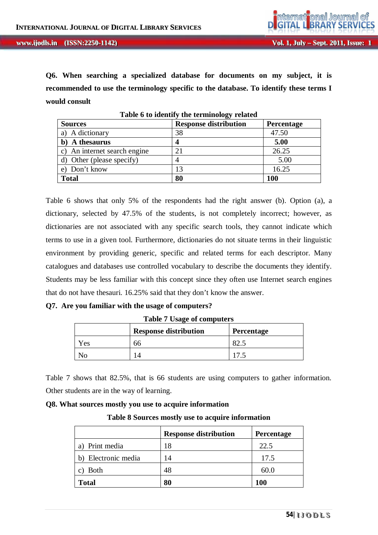**Q6. When searching a specialized database for documents on my subject, it is recommended to use the terminology specific to the database. To identify these terms I would consult**

| <b>Sources</b>               | <u>ຳລະ</u><br><b>Response distribution</b> | <b>Percentage</b> |
|------------------------------|--------------------------------------------|-------------------|
| a) A dictionary              | 38                                         | 47.50             |
| b) A thesaurus               |                                            | 5.00              |
| c) An internet search engine | 21                                         | 26.25             |
| d) Other (please specify)    |                                            | 5.00              |
| Don't know                   |                                            | 16.25             |
| <b>Total</b>                 | 80                                         | 100               |

**Table 6 to identify the terminology related**

Table 6 shows that only 5% of the respondents had the right answer (b). Option (a), a dictionary, selected by 47.5% of the students, is not completely incorrect; however, as dictionaries are not associated with any specific search tools, they cannot indicate which terms to use in a given tool. Furthermore, dictionaries do not situate terms in their linguistic environment by providing generic, specific and related terms for each descriptor. Many catalogues and databases use controlled vocabulary to describe the documents they identify. Students may be less familiar with this concept since they often use Internet search engines that do not have thesauri. 16.25% said that they don't know the answer.

# **Q7. Are you familiar with the usage of computers?**

|     | <b>Response distribution</b> | <b>Percentage</b> |
|-----|------------------------------|-------------------|
| 'es | 66                           | 82.1              |
|     |                              |                   |

**Table 7 Usage of computers**

Table 7 shows that 82.5%, that is 66 students are using computers to gather information. Other students are in the way of learning.

#### **Q8. What sources mostly you use to acquire information**

| Table 8 Sources mostly use to acquire information |  |  |
|---------------------------------------------------|--|--|
|                                                   |  |  |

|                     | <b>Response distribution</b> | Percentage |
|---------------------|------------------------------|------------|
| Print media<br>a)   | 18                           | 22.5       |
| b) Electronic media | 14                           | 17.5       |
| <b>Both</b>         | 48                           | 60.0       |
| <b>Total</b>        | 80                           | <b>100</b> |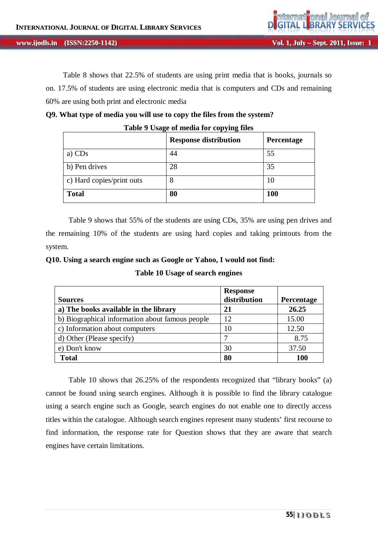Table 8 shows that 22.5% of students are using print media that is books, journals so on. 17.5% of students are using electronic media that is computers and CDs and remaining 60% are using both print and electronic media

| Table 9 Usage of media for copying files   |    |            |  |  |  |
|--------------------------------------------|----|------------|--|--|--|
| <b>Response distribution</b><br>Percentage |    |            |  |  |  |
| a) CDs                                     | 44 | 55         |  |  |  |
| b) Pen drives                              | 28 | 35         |  |  |  |
| c) Hard copies/print outs<br>8<br>10       |    |            |  |  |  |
| <b>Total</b>                               | 80 | <b>100</b> |  |  |  |

## **Q9. What type of media you will use to copy the files from the system?**

Table 9 shows that 55% of the students are using CDs, 35% are using pen drives and the remaining 10% of the students are using hard copies and taking printouts from the system.

### **Q10. Using a search engine such as Google or Yahoo, I would not find:**

|  |  | Table 10 Usage of search engines |  |
|--|--|----------------------------------|--|
|--|--|----------------------------------|--|

| <b>Sources</b>                                  | <b>Response</b><br>distribution | Percentage |
|-------------------------------------------------|---------------------------------|------------|
| a) The books available in the library           | 21                              | 26.25      |
| b) Biographical information about famous people | 12                              | 15.00      |
| c) Information about computers                  | 10                              | 12.50      |
| d) Other (Please specify)                       |                                 | 8.75       |
| e) Don't know                                   | 30                              | 37.50      |
| <b>Total</b>                                    | 80                              | 100        |

Table 10 shows that 26.25% of the respondents recognized that "library books" (a) cannot be found using search engines. Although it is possible to find the library catalogue using a search engine such as Google, search engines do not enable one to directly access titles within the catalogue. Although search engines represent many students' first recourse to find information, the response rate for Question shows that they are aware that search engines have certain limitations.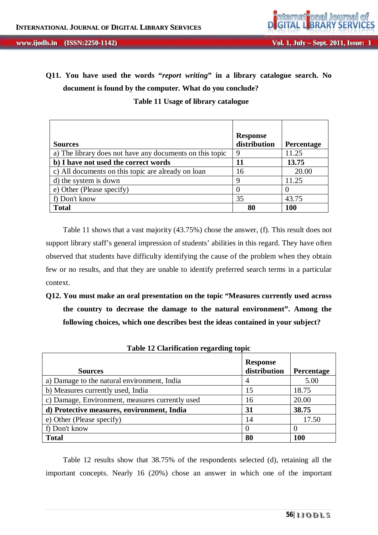# **Q11. You have used the words "***report writing***" in a library catalogue search. No document is found by the computer. What do you conclude?**

 **Table 11 Usage of library catalogue**

| <b>Sources</b>                                           | <b>Response</b><br>distribution | <b>Percentage</b> |
|----------------------------------------------------------|---------------------------------|-------------------|
| a) The library does not have any documents on this topic | 9                               | 11.25             |
| b) I have not used the correct words                     | 11                              | 13.75             |
| c) All documents on this topic are already on loan       | 16                              | 20.00             |
| d) the system is down                                    | 9                               | 11.25             |
| e) Other (Please specify)                                |                                 |                   |
| f) Don't know                                            | 35                              | 43.75             |
| <b>Total</b>                                             | 80                              | <b>100</b>        |

Table 11 shows that a vast majority (43.75%) chose the answer, (f). This result does not support library staff's general impression of students' abilities in this regard. They have often observed that students have difficulty identifying the cause of the problem when they obtain few or no results, and that they are unable to identify preferred search terms in a particular context.

**Q12. You must make an oral presentation on the topic "Measures currently used across the country to decrease the damage to the natural environment". Among the following choices, which one describes best the ideas contained in your subject?**

| <b>Sources</b>                                  | <b>Response</b><br>distribution | <b>Percentage</b> |  |  |  |  |  |
|-------------------------------------------------|---------------------------------|-------------------|--|--|--|--|--|
| a) Damage to the natural environment, India     |                                 | 5.00              |  |  |  |  |  |
| b) Measures currently used, India               | 15                              | 18.75             |  |  |  |  |  |
| c) Damage, Environment, measures currently used | 16                              | 20.00             |  |  |  |  |  |
| d) Protective measures, environment, India      | 31                              | 38.75             |  |  |  |  |  |
| e) Other (Please specify)                       | 14                              | 17.50             |  |  |  |  |  |
| f) Don't know                                   |                                 |                   |  |  |  |  |  |
| <b>Total</b>                                    | 80                              | 100               |  |  |  |  |  |

**Table 12 Clarification regarding topic**

Table 12 results show that 38.75% of the respondents selected (d), retaining all the important concepts. Nearly 16 (20%) chose an answer in which one of the important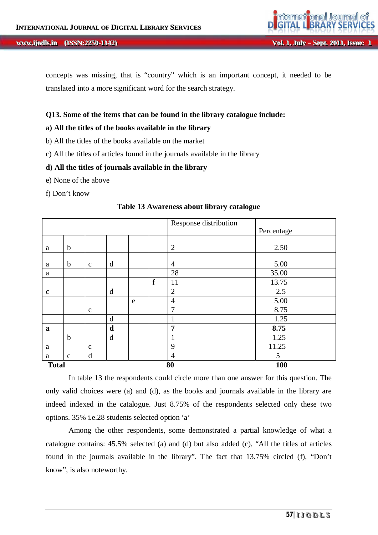#### *Vol. 1, July – Sept. 2011, Issue: iii***<sub>1</sub>, July 2011, Issue:**

concepts was missing, that is "country" which is an important concept, it needed to be translated into a more significant word for the search strategy.

#### **Q13. Some of the items that can be found in the library catalogue include:**

#### **a) All the titles of the books available in the library**

- b) All the titles of the books available on the market
- c) All the titles of articles found in the journals available in the library

#### **d) All the titles of journals available in the library**

- e) None of the above
- f) Don't know

|              |              |              |   |   |             | Response distribution | Percentage |
|--------------|--------------|--------------|---|---|-------------|-----------------------|------------|
| a            | $\mathbf b$  |              |   |   |             | $\overline{2}$        | 2.50       |
| a            | $\mathbf b$  | $\mathbf c$  | d |   |             | $\overline{4}$        | 5.00       |
| a            |              |              |   |   |             | 28                    | 35.00      |
|              |              |              |   |   | $\mathbf f$ | 11                    | 13.75      |
| $\mathbf{C}$ |              |              | d |   |             | $\overline{2}$        | 2.5        |
|              |              |              |   | e |             | $\overline{4}$        | 5.00       |
|              |              | $\mathbf c$  |   |   |             | 7                     | 8.75       |
|              |              |              | d |   |             | 1<br>-                | 1.25       |
| $\mathbf a$  |              |              | d |   |             | 7                     | 8.75       |
|              | $\mathbf b$  |              | d |   |             | 1                     | 1.25       |
| a            |              | $\mathbf{C}$ |   |   |             | 9                     | 11.25      |
| a            | $\mathbf{C}$ | $\mathbf d$  |   |   |             | $\overline{4}$        | 5          |
| <b>Total</b> |              |              |   |   |             | 80                    | <b>100</b> |

#### **Table 13 Awareness about library catalogue**

In table 13 the respondents could circle more than one answer for this question. The only valid choices were (a) and (d), as the books and journals available in the library are indeed indexed in the catalogue. Just 8.75% of the respondents selected only these two options. 35% i.e.28 students selected option 'a'

Among the other respondents, some demonstrated a partial knowledge of what a catalogue contains: 45.5% selected (a) and (d) but also added (c), "All the titles of articles found in the journals available in the library". The fact that 13.75% circled (f), "Don't know", is also noteworthy.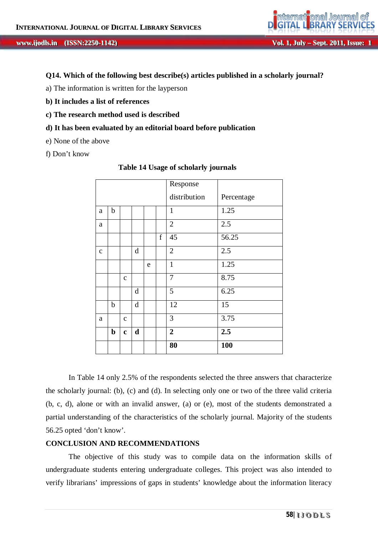

#### **Q14. Which of the following best describe(s) articles published in a scholarly journal?**

- a) The information is written for the layperson
- **b) It includes a list of references**
- **c) The research method used is described**
- **d) It has been evaluated by an editorial board before publication**
- e) None of the above
- f) Don't know

|             |   |              |             | Response |             |                |            |
|-------------|---|--------------|-------------|----------|-------------|----------------|------------|
|             |   |              |             |          |             | distribution   | Percentage |
| a           | b |              |             |          |             | $\mathbf{1}$   | 1.25       |
| a           |   |              |             |          |             | $\overline{2}$ | 2.5        |
|             |   |              |             |          | $\mathbf f$ | 45             | 56.25      |
| $\mathbf c$ |   |              | d           |          |             | $\overline{2}$ | 2.5        |
|             |   |              |             | e        |             | $\mathbf{1}$   | 1.25       |
|             |   | $\mathbf{C}$ |             |          |             | 7              | 8.75       |
|             |   |              | d           |          |             | 5              | 6.25       |
|             | b |              | d           |          |             | 12             | 15         |
| a           |   | $\mathbf{C}$ |             |          |             | 3              | 3.75       |
|             | b | $\mathbf c$  | $\mathbf d$ |          |             | $\overline{2}$ | 2.5        |
|             |   |              |             |          |             | 80             | 100        |

#### **Table 14 Usage of scholarly journals**

In Table 14 only 2.5% of the respondents selected the three answers that characterize the scholarly journal: (b), (c) and (d). In selecting only one or two of the three valid criteria (b, c, d), alone or with an invalid answer, (a) or (e), most of the students demonstrated a partial understanding of the characteristics of the scholarly journal. Majority of the students 56.25 opted 'don't know'.

#### **CONCLUSION AND RECOMMENDATIONS**

The objective of this study was to compile data on the information skills of undergraduate students entering undergraduate colleges. This project was also intended to verify librarians' impressions of gaps in students' knowledge about the information literacy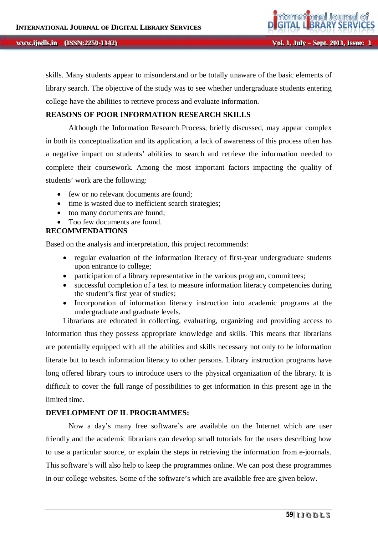skills. Many students appear to misunderstand or be totally unaware of the basic elements of library search. The objective of the study was to see whether undergraduate students entering college have the abilities to retrieve process and evaluate information.

# **REASONS OF POOR INFORMATION RESEARCH SKILLS**

Although the Information Research Process, briefly discussed, may appear complex in both its conceptualization and its application, a lack of awareness of this process often has a negative impact on students' abilities to search and retrieve the information needed to complete their coursework. Among the most important factors impacting the quality of students' work are the following:

- few or no relevant documents are found;
- time is wasted due to inefficient search strategies;
- too many documents are found;
- Too few documents are found.

# **RECOMMENDATIONS**

Based on the analysis and interpretation, this project recommends:

- regular evaluation of the information literacy of first-year undergraduate students upon entrance to college;
- participation of a library representative in the various program, committees;
- successful completion of a test to measure information literacy competencies during the student's first year of studies;
- Incorporation of information literacy instruction into academic programs at the undergraduate and graduate levels.

Librarians are educated in collecting, evaluating, organizing and providing access to information thus they possess appropriate knowledge and skills. This means that librarians are potentially equipped with all the abilities and skills necessary not only to be information literate but to teach information literacy to other persons. Library instruction programs have long offered library tours to introduce users to the physical organization of the library. It is difficult to cover the full range of possibilities to get information in this present age in the limited time.

#### **DEVELOPMENT OF IL PROGRAMMES:**

Now a day's many free software's are available on the Internet which are user friendly and the academic librarians can develop small tutorials for the users describing how to use a particular source, or explain the steps in retrieving the information from e-journals. This software's will also help to keep the programmes online. We can post these programmes in our college websites. Some of the software's which are available free are given below.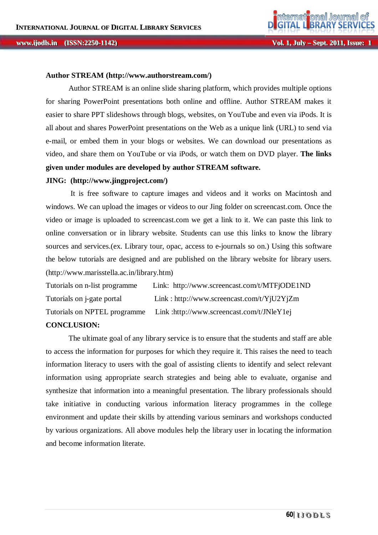#### **Author STREAM (http://www.authorstream.com/)**

Author STREAM is an online slide sharing platform, which provides multiple options for sharing PowerPoint presentations both online and offline. Author STREAM makes it easier to share PPT slideshows through blogs, websites, on YouTube and even via iPods. It is all about and shares PowerPoint presentations on the Web as a unique link (URL) to send via e-mail, or embed them in your blogs or websites. We can download our presentations as video, and share them on YouTube or via iPods, or watch them on DVD player. **The links given under modules are developed by author STREAM software.**

#### **JING: (http://www.jingproject.com/)**

It is free software to capture images and videos and it works on Macintosh and windows. We can upload the images or videos to our Jing folder on screencast.com. Once the video or image is uploaded to screencast.com we get a link to it. We can paste this link to online conversation or in library website. Students can use this links to know the library sources and services.(ex. Library tour, opac, access to e-journals so on.) Using this software the below tutorials are designed and are published on the library website for library users. (http://www.marisstella.ac.in/library.htm)

Tutorials on n-list programme Link: http://www.screencast.com/t/MTFjODE1ND Tutorials on j-gate portal Link : http://www.screencast.com/t/YjU2YjZm Tutorials on NPTEL programme Link :http://www.screencast.com/t/JNleY1ej

# **CONCLUSION:**

The ultimate goal of any library service is to ensure that the students and staff are able to access the information for purposes for which they require it. This raises the need to teach information literacy to users with the goal of assisting clients to identify and select relevant information using appropriate search strategies and being able to evaluate, organise and synthesize that information into a meaningful presentation. The library professionals should take initiative in conducting various information literacy programmes in the college environment and update their skills by attending various seminars and workshops conducted by various organizations. All above modules help the library user in locating the information and become information literate.